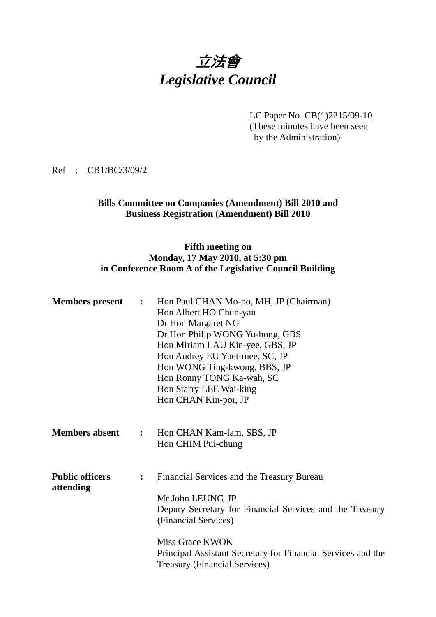# 立法會 *Legislative Council*

LC Paper No. CB(1)2215/09-10

(These minutes have been seen by the Administration)

Ref : CB1/BC/3/09/2

#### **Bills Committee on Companies (Amendment) Bill 2010 and Business Registration (Amendment) Bill 2010**

### **Fifth meeting on Monday, 17 May 2010, at 5:30 pm in Conference Room A of the Legislative Council Building**

| <b>Members present</b>              | $\mathbf{L}$   | Hon Paul CHAN Mo-po, MH, JP (Chairman)<br>Hon Albert HO Chun-yan<br>Dr Hon Margaret NG<br>Dr Hon Philip WONG Yu-hong, GBS<br>Hon Miriam LAU Kin-yee, GBS, JP<br>Hon Audrey EU Yuet-mee, SC, JP<br>Hon WONG Ting-kwong, BBS, JP<br>Hon Ronny TONG Ka-wah, SC<br>Hon Starry LEE Wai-king<br>Hon CHAN Kin-por, JP |
|-------------------------------------|----------------|----------------------------------------------------------------------------------------------------------------------------------------------------------------------------------------------------------------------------------------------------------------------------------------------------------------|
| <b>Members absent</b>               | $\ddot{\cdot}$ | Hon CHAN Kam-lam, SBS, JP<br>Hon CHIM Pui-chung                                                                                                                                                                                                                                                                |
| <b>Public officers</b><br>attending | $\ddot{\cdot}$ | Financial Services and the Treasury Bureau<br>Mr John LEUNG, JP<br>Deputy Secretary for Financial Services and the Treasury<br>(Financial Services)<br>Miss Grace KWOK<br>Principal Assistant Secretary for Financial Services and the<br><b>Treasury (Financial Services)</b>                                 |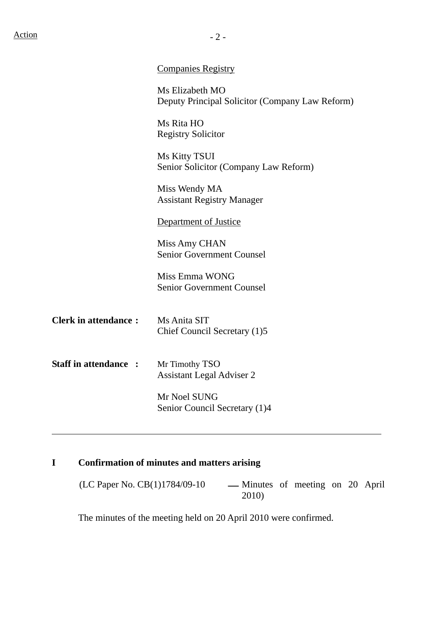Deputy Principal Solicitor (Company Law Reform)

Ms Rita HO Registry Solicitor

Ms Kitty TSUI Senior Solicitor (Company Law Reform)

Miss Wendy MA Assistant Registry Manager

## Department of Justice

Miss Amy CHAN Senior Government Counsel

Miss Emma WONG Senior Government Counsel

| <b>Clerk in attendance:</b> | Ms Anita SIT                 |
|-----------------------------|------------------------------|
|                             | Chief Council Secretary (1)5 |

**Staff in attendance :** Mr Timothy TSO Assistant Legal Adviser 2

> Mr Noel SUNG Senior Council Secretary (1)4

# **I Confirmation of minutes and matters arising**

 $(LC$  Paper No.  $CB(1)1784/09-10$  — Minutes of meeting on 20 April 2010)

The minutes of the meeting held on 20 April 2010 were confirmed.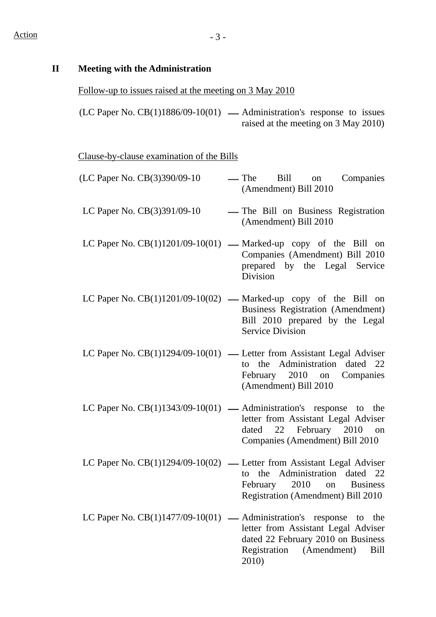#### **II Meeting with the Administration**

# Follow-up to issues raised at the meeting on 3 May 2010

(LC Paper No. CB(1)1886/09-10(01)  $-$  Administration's response to issues raised at the meeting on 3 May 2010)

Clause-by-clause examination of the Bills

| (LC Paper No. CB(3)390/09-10       | Bill on<br>— The<br>Companies<br>(Amendment) Bill 2010                                                                                                                           |
|------------------------------------|----------------------------------------------------------------------------------------------------------------------------------------------------------------------------------|
| LC Paper No. $CB(3)391/09-10$      | - The Bill on Business Registration<br>(Amendment) Bill 2010                                                                                                                     |
|                                    | LC Paper No. $CB(1)1201/09-10(01)$ — Marked-up copy of the Bill on<br>Companies (Amendment) Bill 2010<br>prepared by the Legal Service<br>Division                               |
|                                    | LC Paper No. $CB(1)1201/09-10(02)$ — Marked-up copy of the Bill on<br>Business Registration (Amendment)<br>Bill 2010 prepared by the Legal<br><b>Service Division</b>            |
|                                    | LC Paper No. $CB(1)1294/09-10(01)$ — Letter from Assistant Legal Adviser<br>to the Administration dated 22<br>February 2010 on Companies<br>(Amendment) Bill 2010                |
|                                    | LC Paper No. $CB(1)1343/09-10(01)$ — Administration's response to the<br>letter from Assistant Legal Adviser<br>dated 22 February 2010 on<br>Companies (Amendment) Bill 2010     |
|                                    | LC Paper No. $CB(1)1294/09-10(02)$ — Letter from Assistant Legal Adviser<br>the Administration dated 22<br>to<br>February 2010 on Business<br>Registration (Amendment) Bill 2010 |
| LC Paper No. $CB(1)1477/09-10(01)$ | — Administration's<br>response<br>the<br>to<br>letter from Assistant Legal Adviser<br>dated 22 February 2010 on Business<br>Registration<br>(Amendment)<br>Bill<br>2010)         |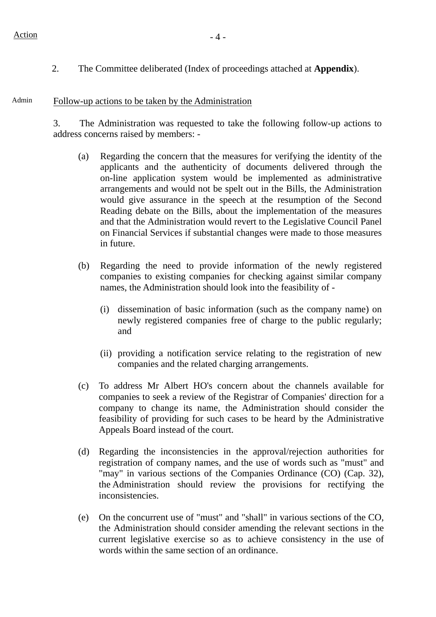2. The Committee deliberated (Index of proceedings attached at **Appendix**).

#### Admin Follow-up actions to be taken by the Administration

3. The Administration was requested to take the following follow-up actions to address concerns raised by members: -

- (a) Regarding the concern that the measures for verifying the identity of the applicants and the authenticity of documents delivered through the on-line application system would be implemented as administrative arrangements and would not be spelt out in the Bills, the Administration would give assurance in the speech at the resumption of the Second Reading debate on the Bills, about the implementation of the measures and that the Administration would revert to the Legislative Council Panel on Financial Services if substantial changes were made to those measures in future.
- (b) Regarding the need to provide information of the newly registered companies to existing companies for checking against similar company names, the Administration should look into the feasibility of -
	- (i) dissemination of basic information (such as the company name) on newly registered companies free of charge to the public regularly; and
	- (ii) providing a notification service relating to the registration of new companies and the related charging arrangements.
- (c) To address Mr Albert HO's concern about the channels available for companies to seek a review of the Registrar of Companies' direction for a company to change its name, the Administration should consider the feasibility of providing for such cases to be heard by the Administrative Appeals Board instead of the court.
- (d) Regarding the inconsistencies in the approval/rejection authorities for registration of company names, and the use of words such as "must" and "may" in various sections of the Companies Ordinance (CO) (Cap. 32), the Administration should review the provisions for rectifying the inconsistencies.
- (e) On the concurrent use of "must" and "shall" in various sections of the CO, the Administration should consider amending the relevant sections in the current legislative exercise so as to achieve consistency in the use of words within the same section of an ordinance.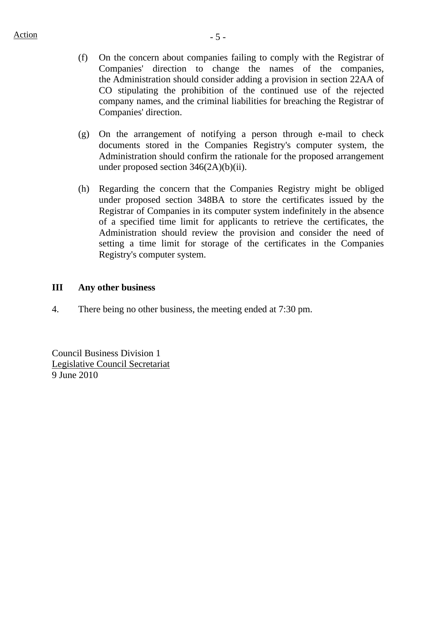- (f) On the concern about companies failing to comply with the Registrar of Companies' direction to change the names of the companies, the Administration should consider adding a provision in section 22AA of CO stipulating the prohibition of the continued use of the rejected company names, and the criminal liabilities for breaching the Registrar of Companies' direction.
- (g) On the arrangement of notifying a person through e-mail to check documents stored in the Companies Registry's computer system, the Administration should confirm the rationale for the proposed arrangement under proposed section 346(2A)(b)(ii).
- (h) Regarding the concern that the Companies Registry might be obliged under proposed section 348BA to store the certificates issued by the Registrar of Companies in its computer system indefinitely in the absence of a specified time limit for applicants to retrieve the certificates, the Administration should review the provision and consider the need of setting a time limit for storage of the certificates in the Companies Registry's computer system.

#### **III Any other business**

4. There being no other business, the meeting ended at 7:30 pm.

Council Business Division 1 Legislative Council Secretariat 9 June 2010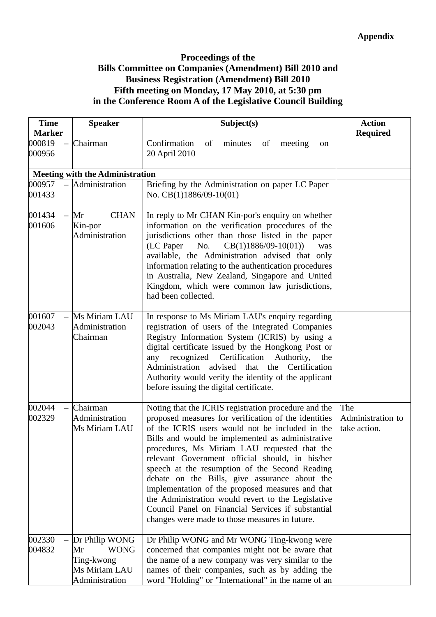## **Proceedings of the Bills Committee on Companies (Amendment) Bill 2010 and Business Registration (Amendment) Bill 2010 Fifth meeting on Monday, 17 May 2010, at 5:30 pm in the Conference Room A of the Legislative Council Building**

| <b>Time</b><br><b>Marker</b> | <b>Speaker</b>                                                                       | Subject(s)                                                                                                                                                                                                                                                                                                                                                                                                                                                                                                                                                                                                                                  | <b>Action</b><br><b>Required</b>         |
|------------------------------|--------------------------------------------------------------------------------------|---------------------------------------------------------------------------------------------------------------------------------------------------------------------------------------------------------------------------------------------------------------------------------------------------------------------------------------------------------------------------------------------------------------------------------------------------------------------------------------------------------------------------------------------------------------------------------------------------------------------------------------------|------------------------------------------|
| 000819<br>000956             | Chairman                                                                             | Confirmation<br>minutes<br>of<br>of<br>meeting<br>on<br>20 April 2010                                                                                                                                                                                                                                                                                                                                                                                                                                                                                                                                                                       |                                          |
|                              | <b>Meeting with the Administration</b>                                               |                                                                                                                                                                                                                                                                                                                                                                                                                                                                                                                                                                                                                                             |                                          |
| 000957<br>001433             | Administration                                                                       | Briefing by the Administration on paper LC Paper<br>No. $CB(1)1886/09-10(01)$                                                                                                                                                                                                                                                                                                                                                                                                                                                                                                                                                               |                                          |
| 001434<br>001606             | <b>CHAN</b><br>Mr<br>Kin-por<br>Administration                                       | In reply to Mr CHAN Kin-por's enquiry on whether<br>information on the verification procedures of the<br>jurisdictions other than those listed in the paper<br>(LC Paper<br>No.<br>$CB(1)1886/09-10(01))$<br>was<br>available, the Administration advised that only<br>information relating to the authentication procedures<br>in Australia, New Zealand, Singapore and United<br>Kingdom, which were common law jurisdictions,<br>had been collected.                                                                                                                                                                                     |                                          |
| 001607<br>002043             | Ms Miriam LAU<br>Administration<br>Chairman                                          | In response to Ms Miriam LAU's enquiry regarding<br>registration of users of the Integrated Companies<br>Registry Information System (ICRIS) by using a<br>digital certificate issued by the Hongkong Post or<br>recognized<br>Certification<br>Authority,<br>any<br>the<br>Administration advised that<br>Certification<br>the<br>Authority would verify the identity of the applicant<br>before issuing the digital certificate.                                                                                                                                                                                                          |                                          |
| 002044<br>002329             | Chairman<br>Administration<br>Ms Miriam LAU                                          | Noting that the ICRIS registration procedure and the<br>proposed measures for verification of the identities<br>of the ICRIS users would not be included in the<br>Bills and would be implemented as administrative<br>procedures, Ms Miriam LAU requested that the<br>relevant Government official should, in his/her<br>speech at the resumption of the Second Reading<br>debate on the Bills, give assurance about the<br>implementation of the proposed measures and that<br>the Administration would revert to the Legislative<br>Council Panel on Financial Services if substantial<br>changes were made to those measures in future. | The<br>Administration to<br>take action. |
| 002330<br>004832             | Dr Philip WONG<br><b>WONG</b><br>Mr<br>Ting-kwong<br>Ms Miriam LAU<br>Administration | Dr Philip WONG and Mr WONG Ting-kwong were<br>concerned that companies might not be aware that<br>the name of a new company was very similar to the<br>names of their companies, such as by adding the<br>word "Holding" or "International" in the name of an                                                                                                                                                                                                                                                                                                                                                                               |                                          |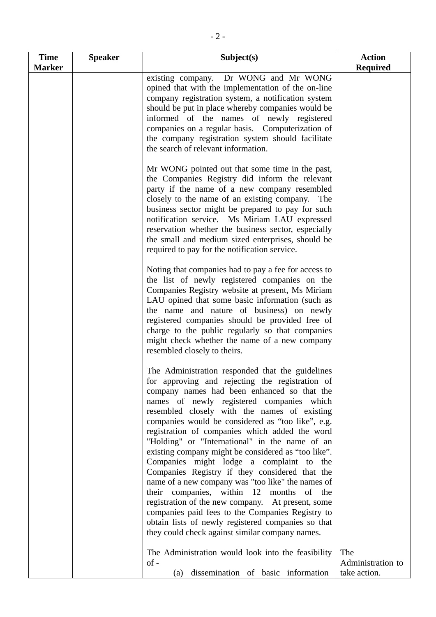| <b>Time</b>   | <b>Speaker</b> | Subject(s)                                                                                                                                                                                                                                                                                                                                                                                                                                                                                                                                                                                                                                                                                                                                                                                                                                                                       | <b>Action</b>                            |
|---------------|----------------|----------------------------------------------------------------------------------------------------------------------------------------------------------------------------------------------------------------------------------------------------------------------------------------------------------------------------------------------------------------------------------------------------------------------------------------------------------------------------------------------------------------------------------------------------------------------------------------------------------------------------------------------------------------------------------------------------------------------------------------------------------------------------------------------------------------------------------------------------------------------------------|------------------------------------------|
| <b>Marker</b> |                |                                                                                                                                                                                                                                                                                                                                                                                                                                                                                                                                                                                                                                                                                                                                                                                                                                                                                  | <b>Required</b>                          |
|               |                | Dr WONG and Mr WONG<br>existing company.<br>opined that with the implementation of the on-line<br>company registration system, a notification system<br>should be put in place whereby companies would be<br>informed of the names of newly registered<br>companies on a regular basis. Computerization of<br>the company registration system should facilitate<br>the search of relevant information.                                                                                                                                                                                                                                                                                                                                                                                                                                                                           |                                          |
|               |                | Mr WONG pointed out that some time in the past,<br>the Companies Registry did inform the relevant<br>party if the name of a new company resembled<br>closely to the name of an existing company. The<br>business sector might be prepared to pay for such<br>notification service. Ms Miriam LAU expressed<br>reservation whether the business sector, especially<br>the small and medium sized enterprises, should be<br>required to pay for the notification service.                                                                                                                                                                                                                                                                                                                                                                                                          |                                          |
|               |                | Noting that companies had to pay a fee for access to<br>the list of newly registered companies on the<br>Companies Registry website at present, Ms Miriam<br>LAU opined that some basic information (such as<br>the name and nature of business) on newly<br>registered companies should be provided free of<br>charge to the public regularly so that companies<br>might check whether the name of a new company<br>resembled closely to theirs.                                                                                                                                                                                                                                                                                                                                                                                                                                |                                          |
|               |                | The Administration responded that the guidelines<br>for approving and rejecting the registration of<br>company names had been enhanced so that the<br>names of newly registered companies which<br>resembled closely with the names of existing<br>companies would be considered as "too like", e.g.<br>registration of companies which added the word<br>"Holding" or "International" in the name of an<br>existing company might be considered as "too like".<br>Companies might lodge a complaint to the<br>Companies Registry if they considered that the<br>name of a new company was "too like" the names of<br>their companies, within 12 months of the<br>registration of the new company. At present, some<br>companies paid fees to the Companies Registry to<br>obtain lists of newly registered companies so that<br>they could check against similar company names. |                                          |
|               |                | The Administration would look into the feasibility<br>$of -$<br>dissemination of basic information<br>(a)                                                                                                                                                                                                                                                                                                                                                                                                                                                                                                                                                                                                                                                                                                                                                                        | The<br>Administration to<br>take action. |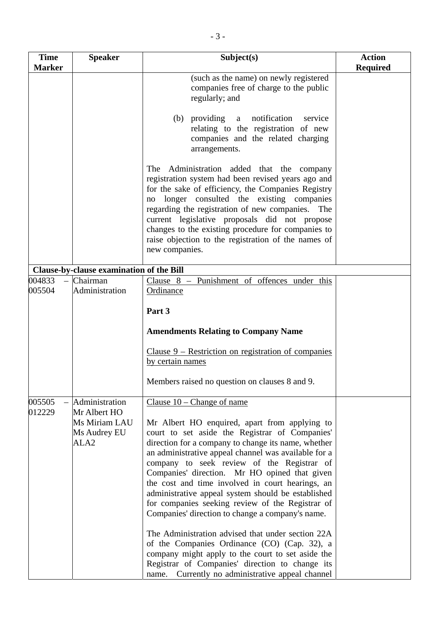| <b>Time</b>                           | <b>Speaker</b>                                                                      | Subject(s)                                                                                                                                                                                                                                                                                                                                                                                                                                                                                                                                                                                                                                                                                                                                                                                                                          | <b>Action</b>   |
|---------------------------------------|-------------------------------------------------------------------------------------|-------------------------------------------------------------------------------------------------------------------------------------------------------------------------------------------------------------------------------------------------------------------------------------------------------------------------------------------------------------------------------------------------------------------------------------------------------------------------------------------------------------------------------------------------------------------------------------------------------------------------------------------------------------------------------------------------------------------------------------------------------------------------------------------------------------------------------------|-----------------|
| <b>Marker</b>                         |                                                                                     |                                                                                                                                                                                                                                                                                                                                                                                                                                                                                                                                                                                                                                                                                                                                                                                                                                     | <b>Required</b> |
|                                       |                                                                                     | (such as the name) on newly registered<br>companies free of charge to the public<br>regularly; and<br>(b) providing a<br>notification<br>service<br>relating to the registration of new<br>companies and the related charging                                                                                                                                                                                                                                                                                                                                                                                                                                                                                                                                                                                                       |                 |
|                                       |                                                                                     | arrangements.<br>Administration added that the company<br>The<br>registration system had been revised years ago and<br>for the sake of efficiency, the Companies Registry<br>longer consulted the existing companies<br>no<br>regarding the registration of new companies. The<br>current legislative proposals did not propose<br>changes to the existing procedure for companies to<br>raise objection to the registration of the names of<br>new companies.                                                                                                                                                                                                                                                                                                                                                                      |                 |
|                                       | Clause-by-clause examination of the Bill                                            |                                                                                                                                                                                                                                                                                                                                                                                                                                                                                                                                                                                                                                                                                                                                                                                                                                     |                 |
| 004833<br>$\qquad \qquad -$<br>005504 | Chairman<br>Administration                                                          | Clause $8$ – Punishment of offences under this<br>Ordinance<br>Part 3                                                                                                                                                                                                                                                                                                                                                                                                                                                                                                                                                                                                                                                                                                                                                               |                 |
|                                       |                                                                                     | <b>Amendments Relating to Company Name</b><br>Clause $9$ – Restriction on registration of companies<br>by certain names<br>Members raised no question on clauses 8 and 9.                                                                                                                                                                                                                                                                                                                                                                                                                                                                                                                                                                                                                                                           |                 |
| 005505<br>012229                      | Administration<br>Mr Albert HO<br>Ms Miriam LAU<br>Ms Audrey EU<br>ALA <sub>2</sub> | Clause $10$ – Change of name<br>Mr Albert HO enquired, apart from applying to<br>court to set aside the Registrar of Companies'<br>direction for a company to change its name, whether<br>an administrative appeal channel was available for a<br>company to seek review of the Registrar of<br>Companies' direction. Mr HO opined that given<br>the cost and time involved in court hearings, an<br>administrative appeal system should be established<br>for companies seeking review of the Registrar of<br>Companies' direction to change a company's name.<br>The Administration advised that under section 22A<br>of the Companies Ordinance (CO) (Cap. 32), a<br>company might apply to the court to set aside the<br>Registrar of Companies' direction to change its<br>Currently no administrative appeal channel<br>name. |                 |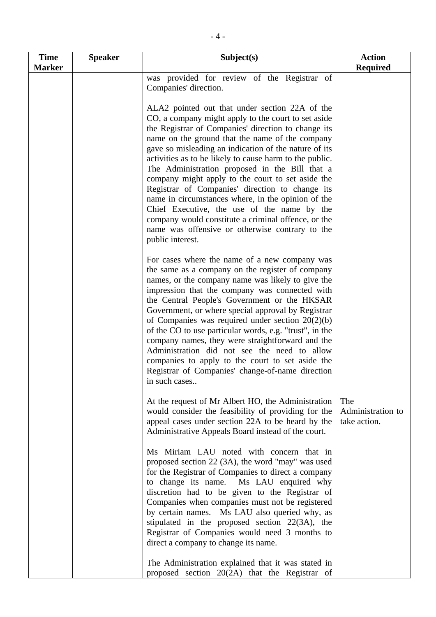| <b>Time</b>   | <b>Speaker</b> | Subject(s)                                                                                                                                                                                                                                                                                                                                                                                                                                                                                                                                                                                                                                                                                                                       | <b>Action</b>                            |
|---------------|----------------|----------------------------------------------------------------------------------------------------------------------------------------------------------------------------------------------------------------------------------------------------------------------------------------------------------------------------------------------------------------------------------------------------------------------------------------------------------------------------------------------------------------------------------------------------------------------------------------------------------------------------------------------------------------------------------------------------------------------------------|------------------------------------------|
| <b>Marker</b> |                |                                                                                                                                                                                                                                                                                                                                                                                                                                                                                                                                                                                                                                                                                                                                  | <b>Required</b>                          |
|               |                | was provided for review of the Registrar of<br>Companies' direction.                                                                                                                                                                                                                                                                                                                                                                                                                                                                                                                                                                                                                                                             |                                          |
|               |                | ALA2 pointed out that under section 22A of the<br>CO, a company might apply to the court to set aside<br>the Registrar of Companies' direction to change its<br>name on the ground that the name of the company<br>gave so misleading an indication of the nature of its<br>activities as to be likely to cause harm to the public.<br>The Administration proposed in the Bill that a<br>company might apply to the court to set aside the<br>Registrar of Companies' direction to change its<br>name in circumstances where, in the opinion of the<br>Chief Executive, the use of the name by the<br>company would constitute a criminal offence, or the<br>name was offensive or otherwise contrary to the<br>public interest. |                                          |
|               |                | For cases where the name of a new company was<br>the same as a company on the register of company<br>names, or the company name was likely to give the<br>impression that the company was connected with<br>the Central People's Government or the HKSAR<br>Government, or where special approval by Registrar<br>of Companies was required under section $20(2)(b)$<br>of the CO to use particular words, e.g. "trust", in the<br>company names, they were straightforward and the<br>Administration did not see the need to allow<br>companies to apply to the court to set aside the<br>Registrar of Companies' change-of-name direction<br>in such cases                                                                     |                                          |
|               |                | At the request of Mr Albert HO, the Administration<br>would consider the feasibility of providing for the<br>appeal cases under section 22A to be heard by the<br>Administrative Appeals Board instead of the court.                                                                                                                                                                                                                                                                                                                                                                                                                                                                                                             | The<br>Administration to<br>take action. |
|               |                | Ms Miriam LAU noted with concern that in<br>proposed section 22 (3A), the word "may" was used<br>for the Registrar of Companies to direct a company<br>to change its name. Ms LAU enquired why<br>discretion had to be given to the Registrar of<br>Companies when companies must not be registered<br>by certain names. Ms LAU also queried why, as<br>stipulated in the proposed section 22(3A), the<br>Registrar of Companies would need 3 months to<br>direct a company to change its name.                                                                                                                                                                                                                                  |                                          |
|               |                | The Administration explained that it was stated in<br>proposed section 20(2A) that the Registrar of                                                                                                                                                                                                                                                                                                                                                                                                                                                                                                                                                                                                                              |                                          |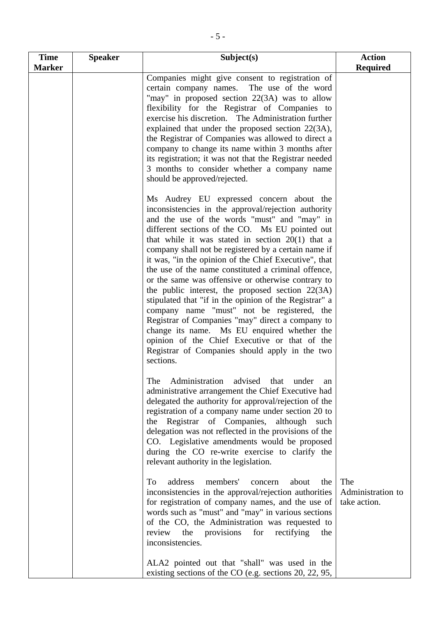| <b>Time</b><br><b>Marker</b> | <b>Speaker</b> | Subject(s)                                                                                                                                                                                                                                                                                                                                                                                                                                                                                                                                                                                                                                                                                                                                                                                                                                                              | <b>Action</b><br><b>Required</b>         |
|------------------------------|----------------|-------------------------------------------------------------------------------------------------------------------------------------------------------------------------------------------------------------------------------------------------------------------------------------------------------------------------------------------------------------------------------------------------------------------------------------------------------------------------------------------------------------------------------------------------------------------------------------------------------------------------------------------------------------------------------------------------------------------------------------------------------------------------------------------------------------------------------------------------------------------------|------------------------------------------|
|                              |                | Companies might give consent to registration of<br>certain company names. The use of the word<br>"may" in proposed section 22(3A) was to allow<br>flexibility for the Registrar of Companies to<br>exercise his discretion. The Administration further<br>explained that under the proposed section 22(3A),<br>the Registrar of Companies was allowed to direct a<br>company to change its name within 3 months after<br>its registration; it was not that the Registrar needed<br>3 months to consider whether a company name<br>should be approved/rejected.                                                                                                                                                                                                                                                                                                          |                                          |
|                              |                | Ms Audrey EU expressed concern about the<br>inconsistencies in the approval/rejection authority<br>and the use of the words "must" and "may" in<br>different sections of the CO. Ms EU pointed out<br>that while it was stated in section $20(1)$ that a<br>company shall not be registered by a certain name if<br>it was, "in the opinion of the Chief Executive", that<br>the use of the name constituted a criminal offence,<br>or the same was offensive or otherwise contrary to<br>the public interest, the proposed section $22(3A)$<br>stipulated that "if in the opinion of the Registrar" a<br>company name "must" not be registered, the<br>Registrar of Companies "may" direct a company to<br>change its name. Ms EU enquired whether the<br>opinion of the Chief Executive or that of the<br>Registrar of Companies should apply in the two<br>sections. |                                          |
|                              |                | Administration advised that under<br>The<br>an<br>administrative arrangement the Chief Executive had<br>delegated the authority for approval/rejection of the<br>registration of a company name under section 20 to<br>Registrar of Companies, although<br>the<br>such<br>delegation was not reflected in the provisions of the<br>CO. Legislative amendments would be proposed<br>during the CO re-write exercise to clarify the<br>relevant authority in the legislation.                                                                                                                                                                                                                                                                                                                                                                                             |                                          |
|                              |                | address<br>members'<br>To<br>about<br>concern<br>the<br>inconsistencies in the approval/rejection authorities<br>for registration of company names, and the use of<br>words such as "must" and "may" in various sections<br>of the CO, the Administration was requested to<br>review<br>the<br>provisions<br>rectifying<br>for<br>the<br>inconsistencies.                                                                                                                                                                                                                                                                                                                                                                                                                                                                                                               | The<br>Administration to<br>take action. |
|                              |                | ALA2 pointed out that "shall" was used in the<br>existing sections of the CO (e.g. sections 20, 22, 95,                                                                                                                                                                                                                                                                                                                                                                                                                                                                                                                                                                                                                                                                                                                                                                 |                                          |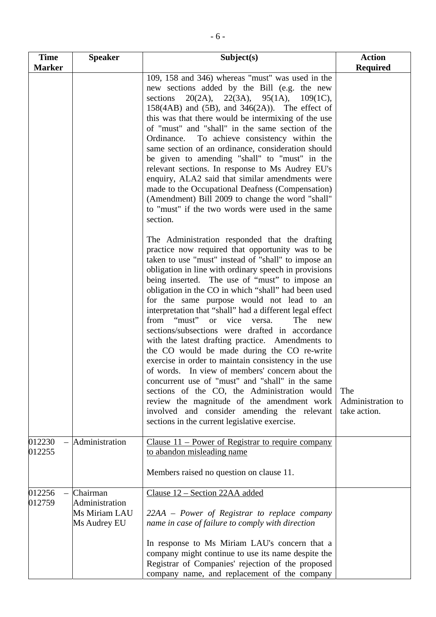| <b>Time</b>      | <b>Speaker</b>                                              | Subject(s)                                                                                                                                                                                                                                                                                                                                                                                                                                                                                                                                                                                                                                                                                                                                                                                                                                                                                                                                                                                             | <b>Action</b>                            |
|------------------|-------------------------------------------------------------|--------------------------------------------------------------------------------------------------------------------------------------------------------------------------------------------------------------------------------------------------------------------------------------------------------------------------------------------------------------------------------------------------------------------------------------------------------------------------------------------------------------------------------------------------------------------------------------------------------------------------------------------------------------------------------------------------------------------------------------------------------------------------------------------------------------------------------------------------------------------------------------------------------------------------------------------------------------------------------------------------------|------------------------------------------|
| <b>Marker</b>    |                                                             |                                                                                                                                                                                                                                                                                                                                                                                                                                                                                                                                                                                                                                                                                                                                                                                                                                                                                                                                                                                                        | <b>Required</b>                          |
|                  |                                                             | 109, 158 and 346) whereas "must" was used in the<br>new sections added by the Bill (e.g. the new<br>sections $20(2A)$ , $22(3A)$ , $95(1A)$ , $109(1C)$ ,<br>$158(4AB)$ and $(5B)$ , and $346(2A)$ ). The effect of<br>this was that there would be intermixing of the use<br>of "must" and "shall" in the same section of the<br>To achieve consistency within the<br>Ordinance.<br>same section of an ordinance, consideration should<br>be given to amending "shall" to "must" in the<br>relevant sections. In response to Ms Audrey EU's<br>enquiry, ALA2 said that similar amendments were<br>made to the Occupational Deafness (Compensation)<br>(Amendment) Bill 2009 to change the word "shall"<br>to "must" if the two words were used in the same<br>section.                                                                                                                                                                                                                                |                                          |
|                  |                                                             | The Administration responded that the drafting<br>practice now required that opportunity was to be<br>taken to use "must" instead of "shall" to impose an<br>obligation in line with ordinary speech in provisions<br>being inserted. The use of "must" to impose an<br>obligation in the CO in which "shall" had been used<br>for the same purpose would not lead to an<br>interpretation that "shall" had a different legal effect<br>from "must" or vice<br>The<br>versa.<br>new<br>sections/subsections were drafted in accordance<br>with the latest drafting practice. Amendments to<br>the CO would be made during the CO re-write<br>exercise in order to maintain consistency in the use<br>of words. In view of members' concern about the<br>concurrent use of "must" and "shall" in the same<br>sections of the CO, the Administration would<br>review the magnitude of the amendment work<br>involved and consider amending the relevant<br>sections in the current legislative exercise. | The<br>Administration to<br>take action. |
| 012230<br>012255 | Administration                                              | Clause $11$ – Power of Registrar to require company<br>to abandon misleading name<br>Members raised no question on clause 11.                                                                                                                                                                                                                                                                                                                                                                                                                                                                                                                                                                                                                                                                                                                                                                                                                                                                          |                                          |
| 012256<br>012759 | Chairman<br>Administration<br>Ms Miriam LAU<br>Ms Audrey EU | Clause 12 – Section 22AA added<br>22AA – Power of Registrar to replace company<br>name in case of failure to comply with direction<br>In response to Ms Miriam LAU's concern that a<br>company might continue to use its name despite the<br>Registrar of Companies' rejection of the proposed<br>company name, and replacement of the company                                                                                                                                                                                                                                                                                                                                                                                                                                                                                                                                                                                                                                                         |                                          |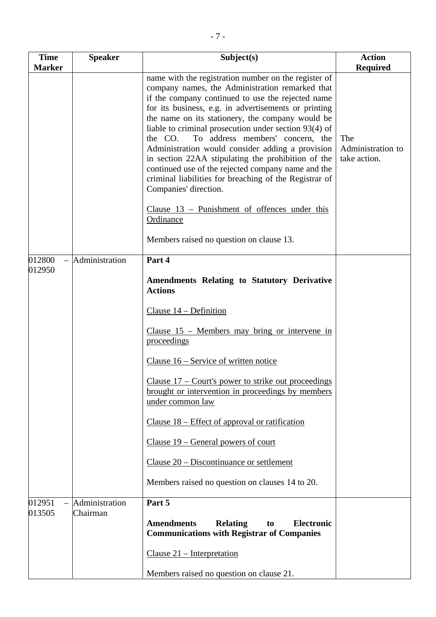| <b>Time</b>   | <b>Speaker</b> | Subject(s)                                                                                                                                                                                                                                                                                                                                                                                                                                                                                                                                                                                                                          | <b>Action</b>                            |
|---------------|----------------|-------------------------------------------------------------------------------------------------------------------------------------------------------------------------------------------------------------------------------------------------------------------------------------------------------------------------------------------------------------------------------------------------------------------------------------------------------------------------------------------------------------------------------------------------------------------------------------------------------------------------------------|------------------------------------------|
| <b>Marker</b> |                |                                                                                                                                                                                                                                                                                                                                                                                                                                                                                                                                                                                                                                     | <b>Required</b>                          |
|               |                | name with the registration number on the register of<br>company names, the Administration remarked that<br>if the company continued to use the rejected name<br>for its business, e.g. in advertisements or printing<br>the name on its stationery, the company would be<br>liable to criminal prosecution under section 93(4) of<br>To address members' concern, the<br>the CO.<br>Administration would consider adding a provision<br>in section 22AA stipulating the prohibition of the<br>continued use of the rejected company name and the<br>criminal liabilities for breaching of the Registrar of<br>Companies' direction. | The<br>Administration to<br>take action. |
|               |                | Clause $13$ – Punishment of offences under this<br>Ordinance                                                                                                                                                                                                                                                                                                                                                                                                                                                                                                                                                                        |                                          |
|               |                | Members raised no question on clause 13.                                                                                                                                                                                                                                                                                                                                                                                                                                                                                                                                                                                            |                                          |
| 012800        | Administration | Part 4                                                                                                                                                                                                                                                                                                                                                                                                                                                                                                                                                                                                                              |                                          |
| 012950        |                | <b>Amendments Relating to Statutory Derivative</b><br><b>Actions</b>                                                                                                                                                                                                                                                                                                                                                                                                                                                                                                                                                                |                                          |
|               |                | Clause $14$ – Definition                                                                                                                                                                                                                                                                                                                                                                                                                                                                                                                                                                                                            |                                          |
|               |                | Clause $15$ – Members may bring or intervene in<br>proceedings                                                                                                                                                                                                                                                                                                                                                                                                                                                                                                                                                                      |                                          |
|               |                | Clause 16 – Service of written notice                                                                                                                                                                                                                                                                                                                                                                                                                                                                                                                                                                                               |                                          |
|               |                | Clause $17$ – Court's power to strike out proceedings<br>brought or intervention in proceedings by members<br>under common law                                                                                                                                                                                                                                                                                                                                                                                                                                                                                                      |                                          |
|               |                | Clause $18$ – Effect of approval or ratification                                                                                                                                                                                                                                                                                                                                                                                                                                                                                                                                                                                    |                                          |
|               |                | Clause $19$ – General powers of court                                                                                                                                                                                                                                                                                                                                                                                                                                                                                                                                                                                               |                                          |
|               |                | Clause $20$ – Discontinuance or settlement                                                                                                                                                                                                                                                                                                                                                                                                                                                                                                                                                                                          |                                          |
|               |                | Members raised no question on clauses 14 to 20.                                                                                                                                                                                                                                                                                                                                                                                                                                                                                                                                                                                     |                                          |
| 012951        | Administration | Part 5                                                                                                                                                                                                                                                                                                                                                                                                                                                                                                                                                                                                                              |                                          |
| 013505        | Chairman       | <b>Amendments</b><br><b>Electronic</b><br><b>Relating</b><br>to<br><b>Communications with Registrar of Companies</b>                                                                                                                                                                                                                                                                                                                                                                                                                                                                                                                |                                          |
|               |                | Clause $21$ – Interpretation                                                                                                                                                                                                                                                                                                                                                                                                                                                                                                                                                                                                        |                                          |
|               |                | Members raised no question on clause 21.                                                                                                                                                                                                                                                                                                                                                                                                                                                                                                                                                                                            |                                          |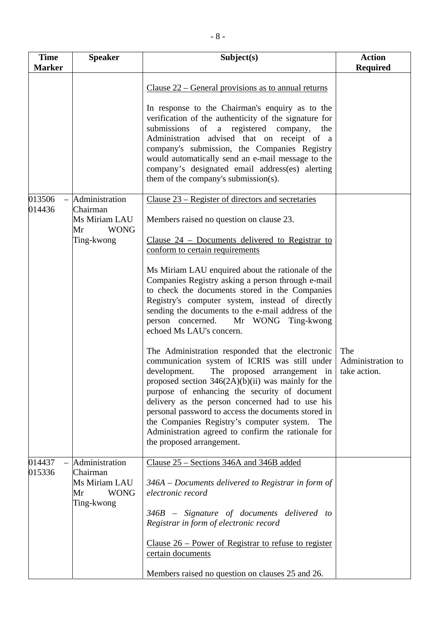| <b>Time</b>      | <b>Speaker</b>                                                                 | Subject(s)                                                                                                                                                                                                                                                                                                                                                                                                                                                                                                                                                                                                                                                                                                                                                                                                                                                                                                                                                                                                                                                        | <b>Action</b>                            |
|------------------|--------------------------------------------------------------------------------|-------------------------------------------------------------------------------------------------------------------------------------------------------------------------------------------------------------------------------------------------------------------------------------------------------------------------------------------------------------------------------------------------------------------------------------------------------------------------------------------------------------------------------------------------------------------------------------------------------------------------------------------------------------------------------------------------------------------------------------------------------------------------------------------------------------------------------------------------------------------------------------------------------------------------------------------------------------------------------------------------------------------------------------------------------------------|------------------------------------------|
| <b>Marker</b>    |                                                                                |                                                                                                                                                                                                                                                                                                                                                                                                                                                                                                                                                                                                                                                                                                                                                                                                                                                                                                                                                                                                                                                                   | <b>Required</b>                          |
|                  |                                                                                | Clause $22$ – General provisions as to annual returns<br>In response to the Chairman's enquiry as to the<br>verification of the authenticity of the signature for<br>submissions of a registered company,<br>the<br>Administration advised that on receipt of a<br>company's submission, the Companies Registry<br>would automatically send an e-mail message to the<br>company's designated email address(es) alerting<br>them of the company's submission(s).                                                                                                                                                                                                                                                                                                                                                                                                                                                                                                                                                                                                   |                                          |
| 013506<br>014436 | Administration<br>Chairman<br>Ms Miriam LAU<br>Mr<br><b>WONG</b><br>Ting-kwong | Clause 23 – Register of directors and secretaries<br>Members raised no question on clause 23.<br><u>Clause <math>24</math> – Documents delivered to Registrar to</u><br>conform to certain requirements<br>Ms Miriam LAU enquired about the rationale of the<br>Companies Registry asking a person through e-mail<br>to check the documents stored in the Companies<br>Registry's computer system, instead of directly<br>sending the documents to the e-mail address of the<br>person concerned.<br>Mr WONG Ting-kwong<br>echoed Ms LAU's concern.<br>The Administration responded that the electronic<br>communication system of ICRIS was still under<br>development.<br>The proposed arrangement in<br>proposed section $346(2A)(b)(ii)$ was mainly for the<br>purpose of enhancing the security of document<br>delivery as the person concerned had to use his<br>personal password to access the documents stored in<br>the Companies Registry's computer system.<br>The<br>Administration agreed to confirm the rationale for<br>the proposed arrangement. | The<br>Administration to<br>take action. |
| 014437<br>015336 | Administration<br>Chairman<br>Ms Miriam LAU<br>Mr<br><b>WONG</b><br>Ting-kwong | Clause 25 – Sections 346A and 346B added<br>$346A - Doc$ uments delivered to Registrar in form of<br>electronic record<br>346B – Signature of documents delivered to<br>Registrar in form of electronic record<br>Clause $26$ – Power of Registrar to refuse to register<br>certain documents<br>Members raised no question on clauses 25 and 26.                                                                                                                                                                                                                                                                                                                                                                                                                                                                                                                                                                                                                                                                                                                 |                                          |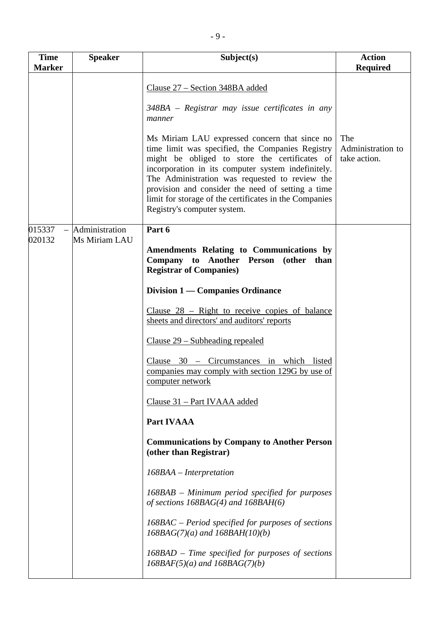| <b>Time</b><br><b>Marker</b> | <b>Speaker</b>                  | Subject(s)                                                                                                                                                                                                                                                                                                                                                                                                                                                                                               | <b>Action</b><br><b>Required</b>         |
|------------------------------|---------------------------------|----------------------------------------------------------------------------------------------------------------------------------------------------------------------------------------------------------------------------------------------------------------------------------------------------------------------------------------------------------------------------------------------------------------------------------------------------------------------------------------------------------|------------------------------------------|
|                              |                                 | Clause 27 – Section 348BA added<br>348BA – Registrar may issue certificates in any<br>manner<br>Ms Miriam LAU expressed concern that since no<br>time limit was specified, the Companies Registry<br>might be obliged to store the certificates of<br>incorporation in its computer system indefinitely.<br>The Administration was requested to review the<br>provision and consider the need of setting a time<br>limit for storage of the certificates in the Companies<br>Registry's computer system. | The<br>Administration to<br>take action. |
| 015337<br>020132             | Administration<br>Ms Miriam LAU | Part 6<br>Amendments Relating to Communications by<br>Company to Another Person (other than<br><b>Registrar of Companies)</b>                                                                                                                                                                                                                                                                                                                                                                            |                                          |
|                              |                                 | Division 1 — Companies Ordinance                                                                                                                                                                                                                                                                                                                                                                                                                                                                         |                                          |
|                              |                                 | Clause $28$ – Right to receive copies of balance<br>sheets and directors' and auditors' reports                                                                                                                                                                                                                                                                                                                                                                                                          |                                          |
|                              |                                 | $Clause 29 - Subleading repeated$                                                                                                                                                                                                                                                                                                                                                                                                                                                                        |                                          |
|                              |                                 | Clause 30 - Circumstances in which listed<br>companies may comply with section 129G by use of<br>computer network                                                                                                                                                                                                                                                                                                                                                                                        |                                          |
|                              |                                 | Clause 31 – Part IVAAA added                                                                                                                                                                                                                                                                                                                                                                                                                                                                             |                                          |
|                              |                                 | <b>Part IVAAA</b>                                                                                                                                                                                                                                                                                                                                                                                                                                                                                        |                                          |
|                              |                                 | <b>Communications by Company to Another Person</b><br>(other than Registrar)                                                                                                                                                                                                                                                                                                                                                                                                                             |                                          |
|                              |                                 | 168BAA - Interpretation                                                                                                                                                                                                                                                                                                                                                                                                                                                                                  |                                          |
|                              |                                 | 168BAB – Minimum period specified for purposes<br>of sections $168BAG(4)$ and $168BAH(6)$                                                                                                                                                                                                                                                                                                                                                                                                                |                                          |
|                              |                                 | $168BAC$ – Period specified for purposes of sections<br>$168BAG(7)(a)$ and $168BAH(10)(b)$                                                                                                                                                                                                                                                                                                                                                                                                               |                                          |
|                              |                                 | $168BAD$ – Time specified for purposes of sections<br>$168BAF(5)(a)$ and $168BAG(7)(b)$                                                                                                                                                                                                                                                                                                                                                                                                                  |                                          |